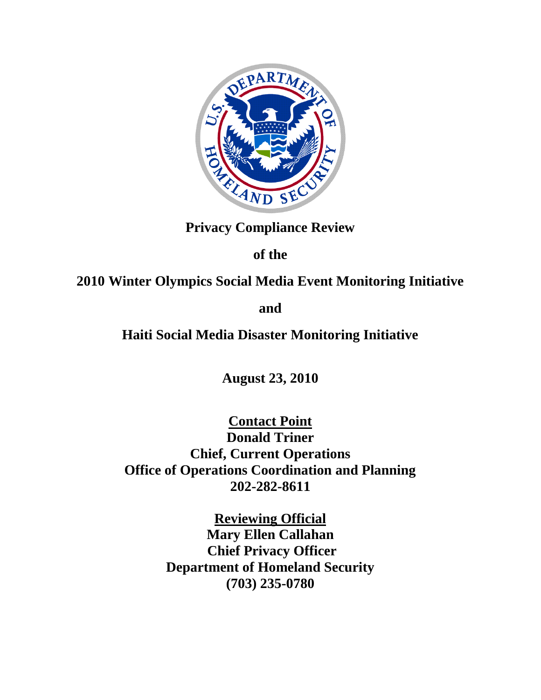

**Privacy Compliance Review**

**of the**

**2010 Winter Olympics Social Media Event Monitoring Initiative**

**and**

**Haiti Social Media Disaster Monitoring Initiative**

**August 23, 2010**

**Contact Point Donald Triner Chief, Current Operations Office of Operations Coordination and Planning 202-282-8611**

> **Reviewing Official Mary Ellen Callahan Chief Privacy Officer Department of Homeland Security (703) 235-0780**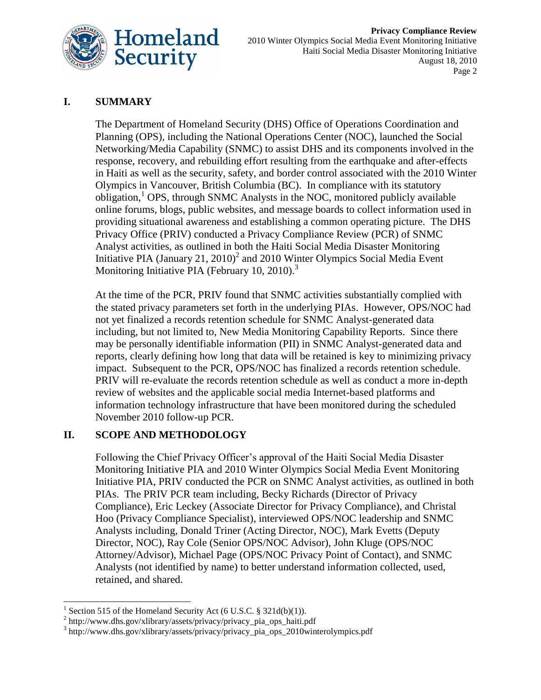

# **I. SUMMARY**

The Department of Homeland Security (DHS) Office of Operations Coordination and Planning (OPS), including the National Operations Center (NOC), launched the Social Networking/Media Capability (SNMC) to assist DHS and its components involved in the response, recovery, and rebuilding effort resulting from the earthquake and after-effects in Haiti as well as the security, safety, and border control associated with the 2010 Winter Olympics in Vancouver, British Columbia (BC). In compliance with its statutory obligation,<sup>1</sup> OPS, through SNMC Analysts in the NOC, monitored publicly available online forums, blogs, public websites, and message boards to collect information used in providing situational awareness and establishing a common operating picture. The DHS Privacy Office (PRIV) conducted a Privacy Compliance Review (PCR) of SNMC Analyst activities, as outlined in both the Haiti Social Media Disaster Monitoring Initiative PIA (January 21, 2010)<sup>2</sup> and 2010 Winter Olympics Social Media Event Monitoring Initiative PIA (February 10, 2010).<sup>3</sup>

At the time of the PCR, PRIV found that SNMC activities substantially complied with the stated privacy parameters set forth in the underlying PIAs. However, OPS/NOC had not yet finalized a records retention schedule for SNMC Analyst-generated data including, but not limited to, New Media Monitoring Capability Reports. Since there may be personally identifiable information (PII) in SNMC Analyst-generated data and reports, clearly defining how long that data will be retained is key to minimizing privacy impact. Subsequent to the PCR, OPS/NOC has finalized a records retention schedule. PRIV will re-evaluate the records retention schedule as well as conduct a more in-depth review of websites and the applicable social media Internet-based platforms and information technology infrastructure that have been monitored during the scheduled November 2010 follow-up PCR.

### **II. SCOPE AND METHODOLOGY**

Following the Chief Privacy Officer's approval of the Haiti Social Media Disaster Monitoring Initiative PIA and 2010 Winter Olympics Social Media Event Monitoring Initiative PIA, PRIV conducted the PCR on SNMC Analyst activities, as outlined in both PIAs. The PRIV PCR team including, Becky Richards (Director of Privacy Compliance), Eric Leckey (Associate Director for Privacy Compliance), and Christal Hoo (Privacy Compliance Specialist), interviewed OPS/NOC leadership and SNMC Analysts including, Donald Triner (Acting Director, NOC), Mark Evetts (Deputy Director, NOC), Ray Cole (Senior OPS/NOC Advisor), John Kluge (OPS/NOC Attorney/Advisor), Michael Page (OPS/NOC Privacy Point of Contact), and SNMC Analysts (not identified by name) to better understand information collected, used, retained, and shared.

l

<sup>&</sup>lt;sup>1</sup> Section 515 of the Homeland Security Act (6 U.S.C. § 321d(b)(1)).

<sup>&</sup>lt;sup>2</sup> http://www.dhs.gov/xlibrary/assets/privacy/privacy\_pia\_ops\_haiti.pdf

<sup>&</sup>lt;sup>3</sup> http://www.dhs.gov/xlibrary/assets/privacy/privacy\_pia\_ops\_2010winterolympics.pdf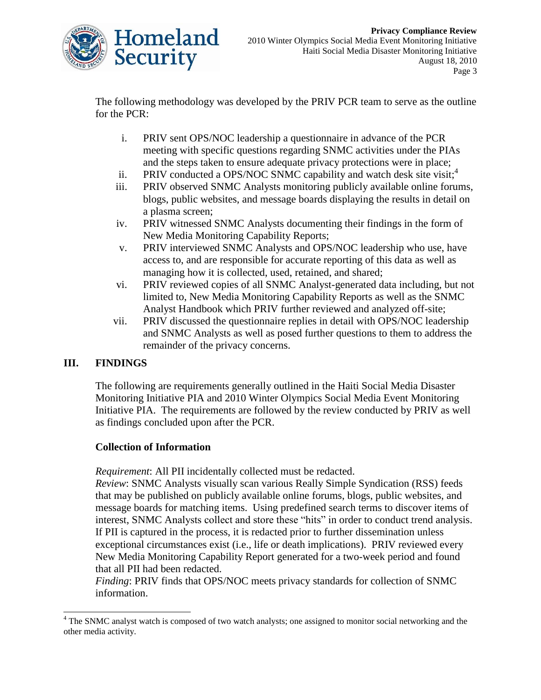

The following methodology was developed by the PRIV PCR team to serve as the outline for the PCR:

- i. PRIV sent OPS/NOC leadership a questionnaire in advance of the PCR meeting with specific questions regarding SNMC activities under the PIAs and the steps taken to ensure adequate privacy protections were in place;
- ii. PRIV conducted a OPS/NOC SNMC capability and watch desk site visit; $<sup>4</sup>$ </sup>
- iii. PRIV observed SNMC Analysts monitoring publicly available online forums, blogs, public websites, and message boards displaying the results in detail on a plasma screen;
- iv. PRIV witnessed SNMC Analysts documenting their findings in the form of New Media Monitoring Capability Reports;
- v. PRIV interviewed SNMC Analysts and OPS/NOC leadership who use, have access to, and are responsible for accurate reporting of this data as well as managing how it is collected, used, retained, and shared;
- vi. PRIV reviewed copies of all SNMC Analyst-generated data including, but not limited to, New Media Monitoring Capability Reports as well as the SNMC Analyst Handbook which PRIV further reviewed and analyzed off-site;
- vii. PRIV discussed the questionnaire replies in detail with OPS/NOC leadership and SNMC Analysts as well as posed further questions to them to address the remainder of the privacy concerns.

# **III. FINDINGS**

 $\overline{a}$ 

The following are requirements generally outlined in the Haiti Social Media Disaster Monitoring Initiative PIA and 2010 Winter Olympics Social Media Event Monitoring Initiative PIA. The requirements are followed by the review conducted by PRIV as well as findings concluded upon after the PCR.

### **Collection of Information**

*Requirement*: All PII incidentally collected must be redacted.

*Review*: SNMC Analysts visually scan various Really Simple Syndication (RSS) feeds that may be published on publicly available online forums, blogs, public websites, and message boards for matching items. Using predefined search terms to discover items of interest, SNMC Analysts collect and store these "hits" in order to conduct trend analysis. If PII is captured in the process, it is redacted prior to further dissemination unless exceptional circumstances exist (i.e., life or death implications). PRIV reviewed every New Media Monitoring Capability Report generated for a two-week period and found that all PII had been redacted.

*Finding*: PRIV finds that OPS/NOC meets privacy standards for collection of SNMC information.

<sup>&</sup>lt;sup>4</sup> The SNMC analyst watch is composed of two watch analysts; one assigned to monitor social networking and the other media activity.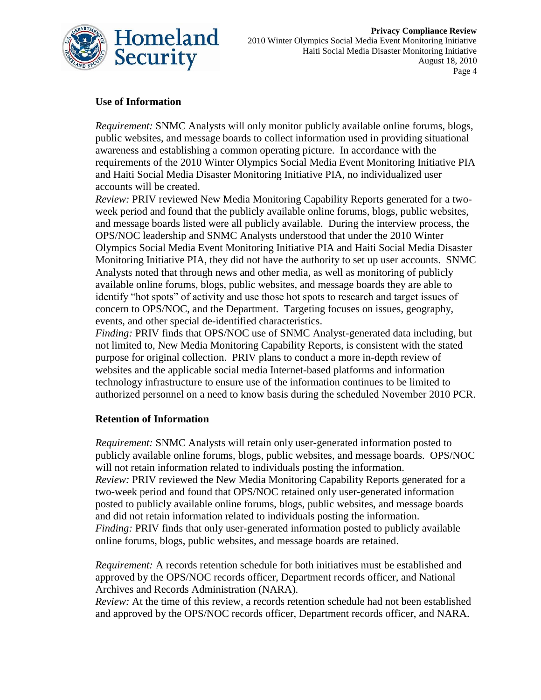

## **Use of Information**

*Requirement:* SNMC Analysts will only monitor publicly available online forums, blogs, public websites, and message boards to collect information used in providing situational awareness and establishing a common operating picture. In accordance with the requirements of the 2010 Winter Olympics Social Media Event Monitoring Initiative PIA and Haiti Social Media Disaster Monitoring Initiative PIA, no individualized user accounts will be created.

*Review:* PRIV reviewed New Media Monitoring Capability Reports generated for a twoweek period and found that the publicly available online forums, blogs, public websites, and message boards listed were all publicly available. During the interview process, the OPS/NOC leadership and SNMC Analysts understood that under the 2010 Winter Olympics Social Media Event Monitoring Initiative PIA and Haiti Social Media Disaster Monitoring Initiative PIA, they did not have the authority to set up user accounts. SNMC Analysts noted that through news and other media, as well as monitoring of publicly available online forums, blogs, public websites, and message boards they are able to identify "hot spots" of activity and use those hot spots to research and target issues of concern to OPS/NOC, and the Department. Targeting focuses on issues, geography, events, and other special de-identified characteristics.

*Finding:* PRIV finds that OPS/NOC use of SNMC Analyst-generated data including, but not limited to, New Media Monitoring Capability Reports, is consistent with the stated purpose for original collection. PRIV plans to conduct a more in-depth review of websites and the applicable social media Internet-based platforms and information technology infrastructure to ensure use of the information continues to be limited to authorized personnel on a need to know basis during the scheduled November 2010 PCR.

### **Retention of Information**

*Requirement:* SNMC Analysts will retain only user-generated information posted to publicly available online forums, blogs, public websites, and message boards. OPS/NOC will not retain information related to individuals posting the information. *Review:* PRIV reviewed the New Media Monitoring Capability Reports generated for a two-week period and found that OPS/NOC retained only user-generated information posted to publicly available online forums, blogs, public websites, and message boards and did not retain information related to individuals posting the information. *Finding:* PRIV finds that only user-generated information posted to publicly available online forums, blogs, public websites, and message boards are retained.

*Requirement:* A records retention schedule for both initiatives must be established and approved by the OPS/NOC records officer, Department records officer, and National Archives and Records Administration (NARA).

*Review:* At the time of this review, a records retention schedule had not been established and approved by the OPS/NOC records officer, Department records officer, and NARA.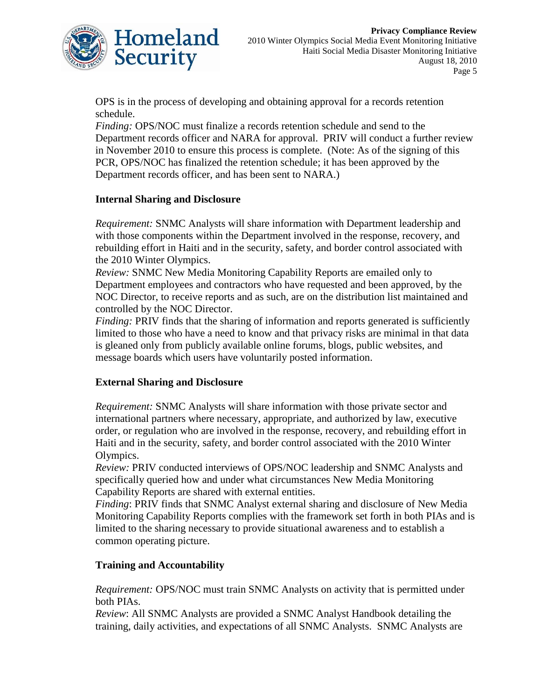

OPS is in the process of developing and obtaining approval for a records retention schedule.

*Finding:* OPS/NOC must finalize a records retention schedule and send to the Department records officer and NARA for approval. PRIV will conduct a further review in November 2010 to ensure this process is complete. (Note: As of the signing of this PCR, OPS/NOC has finalized the retention schedule; it has been approved by the Department records officer, and has been sent to NARA.)

#### **Internal Sharing and Disclosure**

*Requirement:* SNMC Analysts will share information with Department leadership and with those components within the Department involved in the response, recovery, and rebuilding effort in Haiti and in the security, safety, and border control associated with the 2010 Winter Olympics.

*Review:* SNMC New Media Monitoring Capability Reports are emailed only to Department employees and contractors who have requested and been approved, by the NOC Director, to receive reports and as such, are on the distribution list maintained and controlled by the NOC Director.

*Finding:* PRIV finds that the sharing of information and reports generated is sufficiently limited to those who have a need to know and that privacy risks are minimal in that data is gleaned only from publicly available online forums, blogs, public websites, and message boards which users have voluntarily posted information.

### **External Sharing and Disclosure**

*Requirement:* SNMC Analysts will share information with those private sector and international partners where necessary, appropriate, and authorized by law, executive order, or regulation who are involved in the response, recovery, and rebuilding effort in Haiti and in the security, safety, and border control associated with the 2010 Winter Olympics.

*Review:* PRIV conducted interviews of OPS/NOC leadership and SNMC Analysts and specifically queried how and under what circumstances New Media Monitoring Capability Reports are shared with external entities.

*Finding*: PRIV finds that SNMC Analyst external sharing and disclosure of New Media Monitoring Capability Reports complies with the framework set forth in both PIAs and is limited to the sharing necessary to provide situational awareness and to establish a common operating picture.

#### **Training and Accountability**

*Requirement:* OPS/NOC must train SNMC Analysts on activity that is permitted under both PIAs.

*Review*: All SNMC Analysts are provided a SNMC Analyst Handbook detailing the training, daily activities, and expectations of all SNMC Analysts. SNMC Analysts are